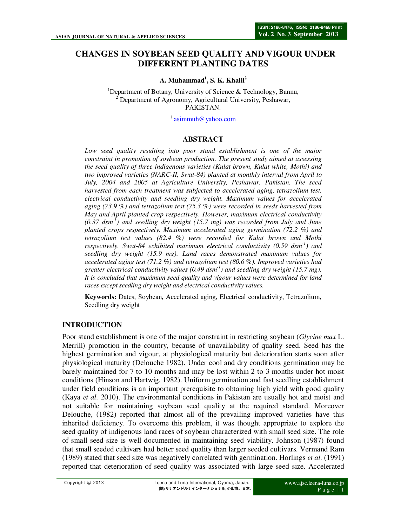# **CHANGES IN SOYBEAN SEED QUALITY AND VIGOUR UNDER DIFFERENT PLANTING DATES**

**A. Muhammad<sup>1</sup> , S. K. Khalil<sup>2</sup>**

<sup>1</sup>Department of Botany, University of Science & Technology, Bannu,  $2^{2}$  Department of Agronomy, Agricultural University, Peshawar, PAKISTAN.

<sup>1</sup> asimmuh@yahoo.com

### **ABSTRACT**

*Low seed quality resulting into poor stand establishment is one of the major constraint in promotion of soybean production. The present study aimed at assessing the seed quality of three indigenous varieties (Kulat brown, Kulat white, Mothi) and two improved varieties (NARC-II, Swat-84) planted at monthly interval from April to July, 2004 and 2005 at Agriculture University, Peshawar, Pakistan. The seed harvested from each treatment was subjected to accelerated aging, tetrazolium test, electrical conductivity and seedling dry weight. Maximum values for accelerated aging (73.9 %) and tetrazolium test (75.3 %) were recorded in seeds harvested from May and April planted crop respectively. However, maximum electrical conductivity (0.37 dsm-1) and seedling dry weight (15.7 mg) was recorded from July and June planted crops respectively. Maximum accelerated aging germination (72.2 %) and tetrazolium test values (82.4 %) were recorded for Kulat brown and Mothi respectively. Swat-84 exhibited maximum electrical conductivity (0.59 dsm-1) and seedling dry weight (15.9 mg). Land races demonstrated maximum values for accelerated aging test (71.2 %) and tetrazolium test (80.6 %). Improved varieties had greater electrical conductivity values (0.49 dsm-1) and seedling dry weight (15.7 mg). It is concluded that maximum seed quality and vigour values were determined for land races except seedling dry weight and electrical conductivity values.* 

**Keywords:** Dates, Soybean, Accelerated aging, Electrical conductivity, Tetrazolium, Seedling dry weight

#### **INTRODUCTION**

Poor stand establishment is one of the major constraint in restricting soybean (*Glycine max* L. Merrill) promotion in the country, because of unavailability of quality seed. Seed has the highest germination and vigour, at physiological maturity but deterioration starts soon after physiological maturity (Delouche 1982). Under cool and dry conditions germination may be barely maintained for 7 to 10 months and may be lost within 2 to 3 months under hot moist conditions (Hinson and Hartwig, 1982). Uniform germination and fast seedling establishment under field conditions is an important prerequisite to obtaining high yield with good quality (Kaya *et al*. 2010). The environmental conditions in Pakistan are usually hot and moist and not suitable for maintaining soybean seed quality at the required standard. Moreover Delouche, (1982) reported that almost all of the prevailing improved varieties have this inherited deficiency. To overcome this problem, it was thought appropriate to explore the seed quality of indigenous land races of soybean characterized with small seed size. The role of small seed size is well documented in maintaining seed viability. Johnson (1987) found that small seeded cultivars had better seed quality than larger seeded cultivars. Vermand Ram (1989) stated that seed size was negatively correlated with germination. Horlings *et al*. (1991) reported that deterioration of seed quality was associated with large seed size. Accelerated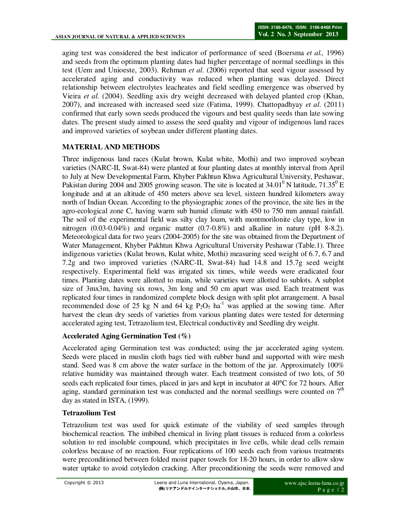aging test was considered the best indicator of performance of seed (Boersma *et al.,* 1996) and seeds from the optimum planting dates had higher percentage of normal seedlings in this test (Uem and Unioeste, 2003). Rehman *et al*. (2006) reported that seed vigour assessed by accelerated aging and conductivity was reduced when planting was delayed. Direct relationship between electrolytes leacheates and field seedling emergence was observed by Vieira *et al*. (2004). Seedling axis dry weight decreased with delayed planted crop (Khan, 2007), and increased with increased seed size (Fatima, 1999). Chattopadhyay *et al*. (2011) confirmed that early sown seeds produced the vigours and best quality seeds than late sowing dates. The present study aimed to assess the seed quality and vigour of indigenous land races and improved varieties of soybean under different planting dates.

## **MATERIAL AND METHODS**

Three indigenous land races (Kulat brown, Kulat white, Mothi) and two improved soybean varieties (NARC-II, Swat-84) were planted at four planting dates at monthly interval from April to July at New Developmental Farm, Khyber Pakhtun Khwa Agricultural University, Peshawar, Pakistan during 2004 and 2005 growing season. The site is located at  $34.01^{\circ}$  N latitude,  $71.35^{\circ}$  E longitude and at an altitude of 450 meters above sea level, sixteen hundred kilometers away north of Indian Ocean. According to the physiographic zones of the province, the site lies in the agro-ecological zone C, having warm sub humid climate with 450 to 750 mm annual rainfall. The soil of the experimental field was silty clay loam, with montmorilonite clay type, low in nitrogen  $(0.03-0.04\%)$  and organic matter  $(0.7-0.8\%)$  and alkaline in nature (pH 8-8.2). Meteorological data for two years (2004-2005) for the site was obtained from the Department of Water Management, Khyber Pakhtun Khwa Agricultural University Peshawar (Table.1). Three indigenous varieties (Kulat brown, Kulat white, Mothi) measuring seed weight of 6.7, 6.7 and 7.2g and two improved varieties (NARC-II, Swat-84) had 14.8 and 15.7g seed weight respectively. Experimental field was irrigated six times, while weeds were eradicated four times. Planting dates were allotted to main, while varieties were allotted to sublots. A subplot size of 3mx3m, having six rows, 3m long and 50 cm apart was used. Each treatment was replicated four times in randomized complete block design with split plot arrangement. A basal recommended dose of 25 kg N and 64 kg  $P_2O_5$  ha<sup>-1</sup> was applied at the sowing time. After harvest the clean dry seeds of varieties from various planting dates were tested for determing accelerated aging test, Tetrazolium test, Electrical conductivity and Seedling dry weight.

### **Accelerated Aging Germination Test (%)**

Accelerated aging Germination test was conducted; using the jar accelerated aging system. Seeds were placed in muslin cloth bags tied with rubber band and supported with wire mesh stand. Seed was 8 cm above the water surface in the bottom of the jar. Approximately 100% relative humidity was maintained through water. Each treatment consisted of two lots, of 50 seeds each replicated four times, placed in jars and kept in incubator at 40°C for 72 hours. After aging, standard germination test was conducted and the normal seedlings were counted on  $7<sup>th</sup>$ day as stated in ISTA, (1999).

### **Tetrazolium Test**

Tetrazolium test was used for quick estimate of the viability of seed samples through biochemical reaction. The imbibed chemical in living plant tissues is reduced from a colorless solution to red insoluble compound, which precipitates in live cells, while dead cells remain colorless because of no reaction. Four replications of 100 seeds each from various treatments were preconditioned between folded moist paper towels for 18-20 hours, in order to allow slow water uptake to avoid cotyledon cracking. After preconditioning the seeds were removed and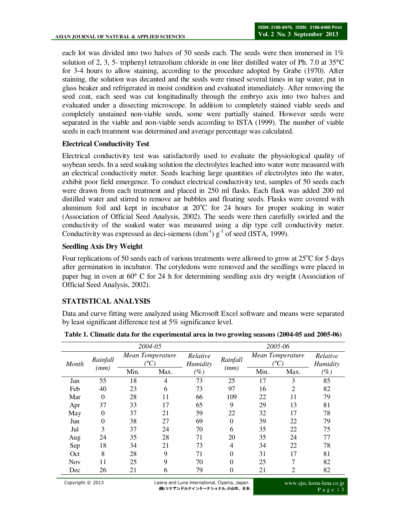each lot was divided into two halves of 50 seeds each. The seeds were then immersed in 1% solution of 2, 3, 5- triphenyl tetrazolium chloride in one liter distilled water of Ph. 7.0 at 35°C for 3-4 hours to allow staining, according to the procedure adopted by Grabe (1970). After staining, the solution was decanted and the seeds were rinsed several times in tap water, put in glass beaker and refrigerated in moist condition and evaluated immediately. After removing the seed coat, each seed was cut longitudinally through the embryo axis into two halves and evaluated under a dissecting microscope. In addition to completely stained viable seeds and completely unstained non-viable seeds, some were partially stained. However seeds were separated in the viable and non-viable seeds according to ISTA (1999). The number of viable seeds in each treatment was determined and average percentage was calculated.

### **Electrical Conductivity Test**

Electrical conductivity test was satisfactorily used to evaluate the physiological quality of soybean seeds. In a seed soaking solution the electrolytes leached into water were measured with an electrical conductivity meter. Seeds leaching large quantities of electrolytes into the water, exhibit poor field emergence. To conduct electrical conductivity test, samples of 50 seeds each were drawn from each treatment and placed in 250 ml flasks. Each flask was added 200 ml distilled water and stirred to remove air bubbles and floating seeds. Flasks were covered with aluminum foil and kept in incubator at  $20^{\circ}$ C for 24 hours for proper soaking in water (Association of Official Seed Analysis, 2002). The seeds were then carefully swirled and the conductivity of the soaked water was measured using a dip type cell conductivity meter. Conductivity was expressed as deci-siemens  $(dsm^{-1}) g^{-1}$  of seed (ISTA, 1999).

#### **Seedling Axis Dry Weight**

Four replications of 50 seeds each of various treatments were allowed to grow at  $25^{\circ}$ C for 5 days after germination in incubator. The cotyledons were removed and the seedlings were placed in paper bag in oven at 60° C for 24 h for determining seedling axis dry weight (Association of Official Seed Analysis, 2002).

### **STATISTICAL ANALYSIS**

Data and curve fitting were analyzed using Microsoft Excel software and means were separated by least significant difference test at 5% significance level.

| 2004-05 |                  |                  |      | 2005-06              |          |                  |                |                      |
|---------|------------------|------------------|------|----------------------|----------|------------------|----------------|----------------------|
| Month   | Rainfall<br>(mm) | Mean Temperature |      | Relative<br>Humidity | Rainfall | Mean Temperature |                | Relative<br>Humidity |
|         |                  | Min.             | Max. | $(\%)$               | (mm)     | Min.             | Max.           | $(\%)$               |
| Jan     | 55               | 18               | 4    | 73                   | 25       | 17               | 3              | 85                   |
| Feb     | 40               | 23               | 6    | 73                   | 97       | 16               | 2              | 82                   |
| Mar     | 0                | 28               | 11   | 66                   | 109      | 22               | 11             | 79                   |
| Apr     | 37               | 33               | 17   | 65                   | 9        | 29               | 13             | 81                   |
| May     | 0                | 37               | 21   | 59                   | 22       | 32               | 17             | 78                   |
| Jun     | 0                | 38               | 27   | 69                   | $\theta$ | 39               | 22             | 79                   |
| Jul     | 3                | 37               | 24   | 70                   | 6        | 35               | 22             | 75                   |
| Aug     | 24               | 35               | 28   | 71                   | 20       | 35               | 24             | 77                   |
| Sep     | 18               | 34               | 21   | 73                   | 4        | 34               | 22             | 78                   |
| Oct     | 8                | 28               | 9    | 71                   | $\theta$ | 31               | 17             | 81                   |
| Nov     | 11               | 25               | 9    | 70                   | $\Omega$ | 25               | 7              | 82                   |
| Dec     | 26               | 21               | 6    | 79                   | 0        | 21               | $\overline{c}$ | 82                   |

**Table 1. Climatic data for the experimental area in two growing seasons (2004-05 and 2005-06)**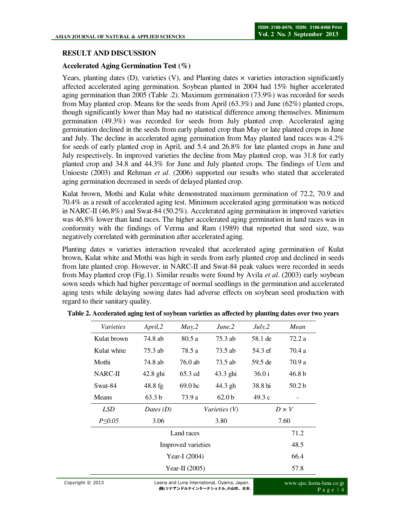### **RESULT AND DISCUSSION**

### **Accelerated Aging Germination Test (%)**

Years, planting dates  $(D)$ , varieties  $(V)$ , and Planting dates  $\times$  varieties interaction significantly affected accelerated aging germination. Soybean planted in 2004 had 15% higher accelerated aging germination than 2005 (Table .2). Maximum germination (73.9%) was recorded for seeds from May planted crop. Means for the seeds from April (63.3%) and June (62%) planted crops, though significantly lower than May had no statistical difference among themselves. Minimum germination (49.3%) was recorded for seeds from July planted crop. Accelerated aging germination declined in the seeds from early planted crop than May or late planted crops in June and July. The decline in accelerated aging germination from May planted land races was 4.2% for seeds of early planted crop in April, and 5.4 and 26.8% for late planted crops in June and July respectively. In improved varieties the decline from May planted crop, was 31.8 for early planted crop and 34.8 and 44.3% for June and July planted crops. The findings of Uem and Unioeste (2003) and Rehman *et al*. (2006) supported our results who stated that accelerated aging germination decreased in seeds of delayed planted crop.

Kulat brown, Mothi and Kulat white demonstrated maximum germination of 72.2, 70.9 and 70.4% as a result of accelerated aging test. Minimum accelerated aging germination was noticed in NARC-II (46.8%) and Swat-84 (50.2%). Accelerated aging germination in improved varieties was 46.8% lower than land races. The higher accelerated aging germination in land races was in conformity with the findings of Verma and Ram (1989) that reported that seed size, was negatively correlated with germination after accelerated aging.

Planting dates × varieties interaction revealed that accelerated aging germination of Kulat brown, Kulat white and Mothi was high in seeds from early planted crop and declined in seeds from late planted crop. However, in NARC-II and Swat-84 peak values were recorded in seeds from May planted crop (Fig.1). Similar results were found by Avila *et al*. (2003) early soybean sown seeds which had higher percentage of normal seedlings in the germination and accelerated aging tests while delaying sowing dates had adverse effects on soybean seed production with regard to their sanitary quality.

| April, 2                            | May, 2             | June, 2           | July, 2      | Mean              |  |
|-------------------------------------|--------------------|-------------------|--------------|-------------------|--|
| 74.8 ab                             | 80.5a              | 75.3 ab           | 58.1 de      | 72.2a             |  |
| 75.3 ab                             | 78.5 a             | 73.5 ab           | 54.3 ef      | 70.4 a            |  |
| 74.8 ab                             | 76.0 ab            | 73.5 ab           | 59.5 de      | 70.9 a            |  |
| $42.8$ ghi                          | 65.3 cd            | $43.3$ ghi        | 36.0 i       | 46.8 <sub>b</sub> |  |
| $48.8 \text{ fg}$                   | 69.0 <sub>bc</sub> | 44.3 gh           | 38.8 hi      | 50.2 <sub>b</sub> |  |
| 63.3 <sub>b</sub>                   | 73.9 a             | 62.0 <sub>b</sub> | 49.3c        |                   |  |
| Dates $(D)$<br><i>Varieties (V)</i> |                    |                   | $D \times V$ |                   |  |
| 3.06                                |                    | 3.80              |              | 7.60              |  |
| Land races                          |                    |                   |              |                   |  |
| Improved varieties                  |                    |                   |              |                   |  |
| Year-I (2004)                       |                    |                   |              |                   |  |
| Year-II $(2005)$                    |                    |                   |              |                   |  |
|                                     |                    |                   |              |                   |  |

**Table 2. Accelerated aging test of soybean varieties as affected by planting dates over two years**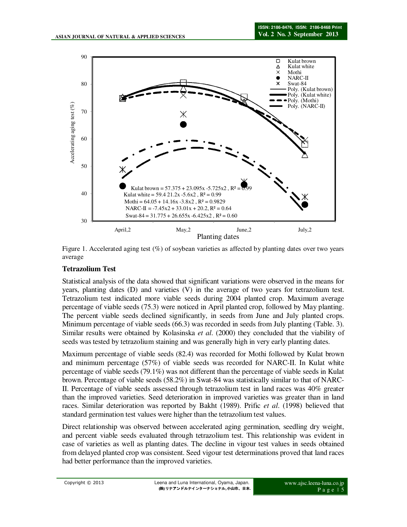

Figure 1. Accelerated aging test  $(\%)$  of soybean varieties as affected by planting dates over two years average

## **Tetrazolium Test**

Statistical analysis of the data showed that significant variations were observed in the means for years, planting dates (D) and varieties (V) in the average of two years for tetrazolium test. Tetrazolium test indicated more viable seeds during 2004 planted crop. Maximum average percentage of viable seeds (75.3) were noticed in April planted crop, followed by May planting. The percent viable seeds declined significantly, in seeds from June and July planted crops. Minimum percentage of viable seeds (66.3) was recorded in seeds from July planting (Table. 3). Similar results were obtained by Kolasinska *et al*. (2000) they concluded that the viability of seeds was tested by tetrazolium staining and was generally high in very early planting dates.

Maximum percentage of viable seeds (82.4) was recorded for Mothi followed by Kulat brown and minimum percentage (57%) of viable seeds was recorded for NARC-II. In Kulat white percentage of viable seeds (79.1%) was not different than the percentage of viable seeds in Kulat brown. Percentage of viable seeds (58.2%) in Swat-84 was statistically similar to that of NARC-II. Percentage of viable seeds assessed through tetrazolium test in land races was 40% greater than the improved varieties. Seed deterioration in improved varieties was greater than in land races. Similar deterioration was reported by Bakht (1989). Prific *et al*. (1998) believed that standard germination test values were higher than the tetrazolium test values.

Direct relationship was observed between accelerated aging germination, seedling dry weight, and percent viable seeds evaluated through tetrazolium test. This relationship was evident in case of varieties as well as planting dates. The decline in vigour test values in seeds obtained from delayed planted crop was consistent. Seed vigour test determinations proved that land races had better performance than the improved varieties.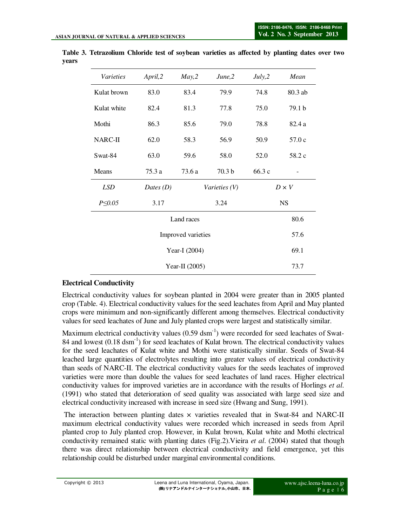| <b>Varieties</b>          | April, 2 | May, 2 | June, 2           | July, 2   | Mean         |  |
|---------------------------|----------|--------|-------------------|-----------|--------------|--|
| Kulat brown               | 83.0     | 83.4   | 79.9              | 74.8      | 80.3 ab      |  |
| Kulat white               | 82.4     | 81.3   | 77.8              | 75.0      | 79.1 b       |  |
| Mothi                     | 86.3     | 85.6   | 79.0              | 78.8      | 82.4 a       |  |
| NARC-II                   | 62.0     | 58.3   | 56.9              | 50.9      | 57.0c        |  |
| Swat-84                   | 63.0     | 59.6   | 58.0              | 52.0      | 58.2 c       |  |
| Means                     | 75.3 a   | 73.6 a | 70.3 <sub>b</sub> | 66.3 c    |              |  |
| <b>LSD</b><br>Dates $(D)$ |          |        | Varieties (V)     |           | $D \times V$ |  |
| $P \le 0.05$              | 3.17     |        | 3.24              | <b>NS</b> |              |  |
|                           |          | 80.6   |                   |           |              |  |
|                           |          | 57.6   |                   |           |              |  |
|                           |          | 69.1   |                   |           |              |  |
|                           |          | 73.7   |                   |           |              |  |

**Table 3. Tetrazolium Chloride test of soybean varieties as affected by planting dates over two years** 

### **Electrical Conductivity**

Electrical conductivity values for soybean planted in 2004 were greater than in 2005 planted crop (Table. 4). Electrical conductivity values for the seed leachates from April and May planted crops were minimum and non-significantly different among themselves. Electrical conductivity values for seed leachates of June and July planted crops were largest and statistically similar.

Maximum electrical conductivity values  $(0.59 \text{ d} \text{sm}^{-1})$  were recorded for seed leachates of Swat-84 and lowest  $(0.18 \text{ dsm}^{-1})$  for seed leachates of Kulat brown. The electrical conductivity values for the seed leachates of Kulat white and Mothi were statistically similar. Seeds of Swat-84 leached large quantities of electrolytes resulting into greater values of electrical conductivity than seeds of NARC-II. The electrical conductivity values for the seeds leachates of improved varieties were more than double the values for seed leachates of land races. Higher electrical conductivity values for improved varieties are in accordance with the results of Horlings *et al*. (1991) who stated that deterioration of seed quality was associated with large seed size and electrical conductivity increased with increase in seed size (Hwang and Sung, 1991).

The interaction between planting dates  $\times$  varieties revealed that in Swat-84 and NARC-II maximum electrical conductivity values were recorded which increased in seeds from April planted crop to July planted crop. However, in Kulat brown, Kulat white and Mothi electrical conductivity remained static with planting dates (Fig.2).Vieira *et al*. (2004) stated that though there was direct relationship between electrical conductivity and field emergence, yet this relationship could be disturbed under marginal environmental conditions.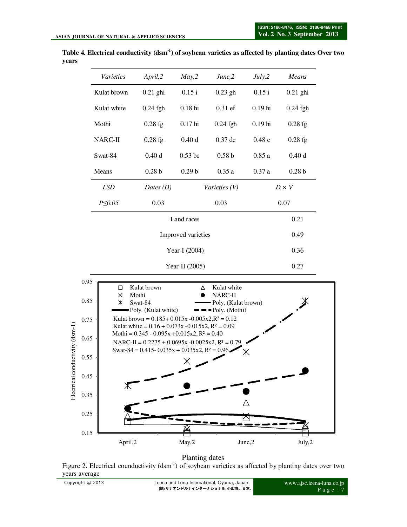

**Table 4. Electrical conductivity (dsm-1) of soybean varieties as affected by planting dates Over two years** 

Planting dates

Figure 2. Electrical counductivity (dsm<sup>-1</sup>) of soybean varieties as affected by planting dates over two years average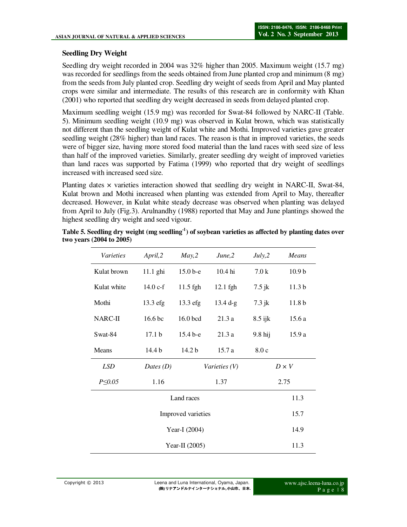## **Seedling Dry Weight**

Seedling dry weight recorded in 2004 was 32% higher than 2005. Maximum weight (15.7 mg) was recorded for seedlings from the seeds obtained from June planted crop and minimum (8 mg) from the seeds from July planted crop. Seedling dry weight of seeds from April and May planted crops were similar and intermediate. The results of this research are in conformity with Khan (2001) who reported that seedling dry weight decreased in seeds from delayed planted crop.

Maximum seedling weight (15.9 mg) was recorded for Swat-84 followed by NARC-II (Table. 5). Minimum seedling weight (10.9 mg) was observed in Kulat brown, which was statistically not different than the seedling weight of Kulat white and Mothi. Improved varieties gave greater seedling weight (28% higher) than land races. The reason is that in improved varieties, the seeds were of bigger size, having more stored food material than the land races with seed size of less than half of the improved varieties. Similarly, greater seedling dry weight of improved varieties than land races was supported by Fatima (1999) who reported that dry weight of seedlings increased with increased seed size.

Planting dates  $\times$  varieties interaction showed that seedling dry weight in NARC-II, Swat-84, Kulat brown and Mothi increased when planting was extended from April to May, thereafter decreased. However, in Kulat white steady decrease was observed when planting was delayed from April to July (Fig.3). Arulnandhy (1988) reported that May and June plantings showed the highest seedling dry weight and seed vigour.

| Varieties     | April, 2          | May, 2            | June, 2       | July, 2      | Means             |
|---------------|-------------------|-------------------|---------------|--------------|-------------------|
| Kulat brown   | 11.1 ghi          | $15.0b-e$         | 10.4 hi       | 7.0k         | 10.9 <sub>b</sub> |
| Kulat white   | 14.0 c-f          | 11.5 fgh          | 12.1 fgh      | $7.5$ jk     | 11.3 <sub>b</sub> |
| Mothi         | 13.3 efg          | 13.3 efg          | $13.4 d-g$    | $7.3$ jk     | 11.8 <sub>b</sub> |
| NARC-II       | 16.6 bc           | 16.0 bcd          | 21.3a         | $8.5$ ijk    | 15.6a             |
| Swat-84       | 17.1 <sub>b</sub> | 15.4 b-e          | 21.3a         | $9.8$ hij    | 15.9a             |
| Means         | 14.4 b            | 14.2 <sub>b</sub> | 15.7a         | 8.0c         |                   |
| <b>LSD</b>    | Dates $(D)$       |                   | Varieties (V) | $D \times V$ |                   |
| $P \leq 0.05$ | 1.16              |                   | 1.37          | 2.75         |                   |
|               |                   | 11.3              |               |              |                   |
|               |                   | 15.7              |               |              |                   |
|               |                   | 14.9              |               |              |                   |
|               |                   | 11.3              |               |              |                   |

**Table 5. Seedling dry weight (mg seedling-1) of soybean varieties as affected by planting dates over two years (2004 to 2005)**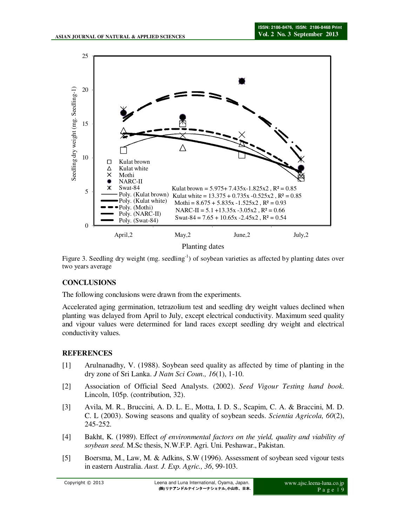

Planting dates

Figure 3. Seedling dry weight (mg. seedling<sup>-1</sup>) of soybean varieties as affected by planting dates over two years average

### **CONCLUSIONS**

The following conclusions were drawn from the experiments.

Accelerated aging germination, tetrazolium test and seedling dry weight values declined when planting was delayed from April to July, except electrical conductivity. Maximum seed quality and vigour values were determined for land races except seedling dry weight and electrical conductivity values.

## **REFERENCES**

- [1] Arulnanadhy, V. (1988). Soybean seed quality as affected by time of planting in the dry zone of Sri Lanka. *J Natn Sci Coun., 16*(1), 1-10.
- [2] Association of Official Seed Analysts. (2002). *Seed Vigour Testing hand book*. Lincoln, 105p. (contribution, 32).
- [3] Avila, M. R., Bruccini, A. D. L. E., Motta, I. D. S., Scapim, C. A. & Braccini, M. D. C. L (2003). Sowing seasons and quality of soybean seeds. *Scientia Agricola, 60*(2), 245-252.
- [4] Bakht, K. (1989). Effect *of environmental factors on the yield, quality and viability of soybean seed.* M.Sc thesis, N.W.F.P. Agri. Uni. Peshawar., Pakistan.
- [5] Boersma, M., Law, M. & Adkins, S.W (1996). Assessment of soybean seed vigour tests in eastern Australia. *Aust. J. Exp. Agric., 36*, 99-103.